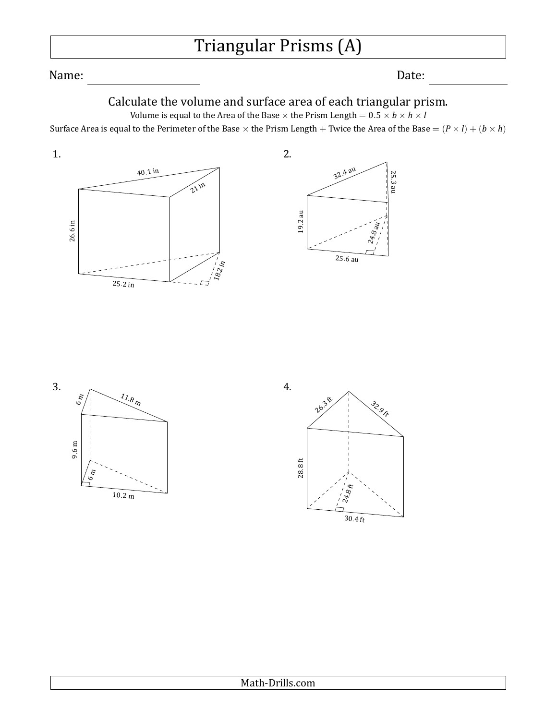# Triangular Prisms (A)

Name: Date:

25*.* 3 au

24.8 au

## Calculate the volume and surface area of each triangular prism.

Volume is equal to the Area of the Base  $\times$  the Prism Length =  $0.5 \times b \times h \times l$ Surface Area is equal to the Perimeter of the Base  $\times$  the Prism Length + Twice the Area of the Base =  $(P \times I) + (b \times h)$ 

40*.*<sup>1</sup> in 26*.*6 in 1.

 $21$  in

18.2

 $\sqrt{2}$ 

25*.*<sup>2</sup> in